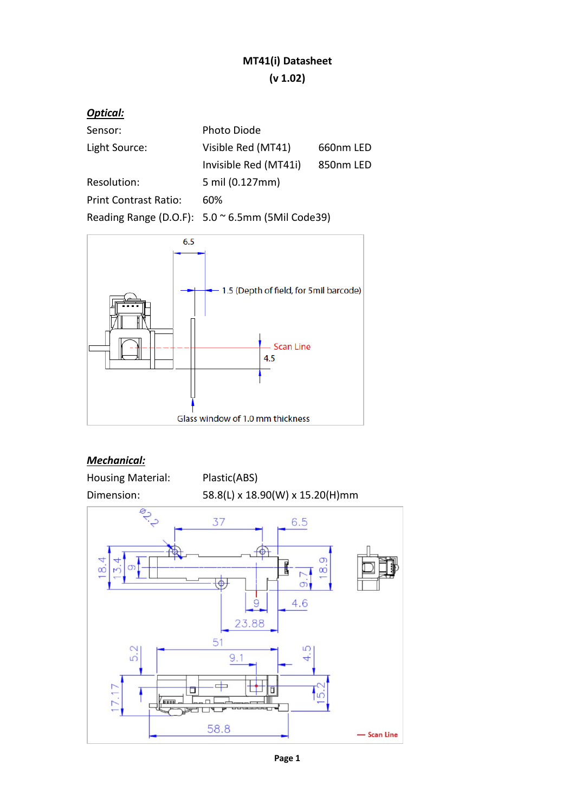## **MT41(i) Datasheet (v 1.02)**

| <b>Optical:</b>              |                                                           |           |
|------------------------------|-----------------------------------------------------------|-----------|
| Sensor:                      | Photo Diode                                               |           |
| Light Source:                | Visible Red (MT41)                                        | 660nm LED |
|                              | Invisible Red (MT41i)                                     | 850nm LED |
| Resolution:                  | 5 mil (0.127mm)                                           |           |
| <b>Print Contrast Ratio:</b> | 60%                                                       |           |
|                              | Reading Range (D.O.F): $5.0 \approx 6.5$ mm (5Mil Code39) |           |



### *Mechanical:*

| <b>Housing Material:</b> | Plastic(ABS)                      |               |
|--------------------------|-----------------------------------|---------------|
| Dimension:               | 58.8(L) x 18.90(W) x 15.20(H)mm   |               |
| <b>PA</b><br>8.4<br>თ    | 37<br>6.5<br><b>City of Print</b> | $\frac{9}{8}$ |
|                          | 4.6<br>9<br>23.88                 |               |
| 5.2<br>17.17<br>8888     | 51<br>5<br>4<br>9.1<br>Ō<br>□     |               |
|                          | 58.8                              | - Scan Line   |

**Page 1**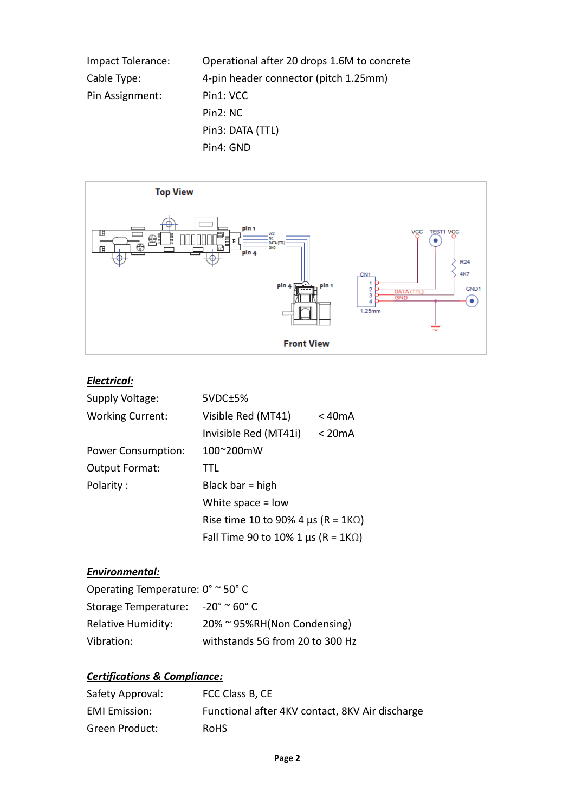| Impact Tolerance: | Operational after 20 drops 1.6M to concrete |
|-------------------|---------------------------------------------|
| Cable Type:       | 4-pin header connector (pitch 1.25mm)       |
| Pin Assignment:   | Pin1: VCC                                   |
|                   | Pin <sub>2</sub> : N <sub>C</sub>           |
|                   | Pin3: DATA (TTL)                            |
|                   | Pin4: GND                                   |



## *Electrical:*

| Supply Voltage:           | 5VDC±5%                                          |        |
|---------------------------|--------------------------------------------------|--------|
| <b>Working Current:</b>   | Visible Red (MT41)                               | < 40mA |
|                           | Invisible Red (MT41i)                            | < 20mA |
| <b>Power Consumption:</b> | 100~200mW                                        |        |
| <b>Output Format:</b>     | TTL                                              |        |
| Polarity:                 | Black bar = high                                 |        |
|                           | White space $=$ low                              |        |
|                           | Rise time 10 to 90% 4 $\mu$ s (R = 1K $\Omega$ ) |        |
|                           | Fall Time 90 to 10% 1 $\mu$ s (R = 1K $\Omega$ ) |        |

#### *Environmental:*

| Operating Temperature: $0^{\circ} \sim 50^{\circ}$ C    |                                 |  |  |
|---------------------------------------------------------|---------------------------------|--|--|
| Storage Temperature: $-20^{\circ} \approx 60^{\circ}$ C |                                 |  |  |
| <b>Relative Humidity:</b>                               | 20% ~ 95%RH(Non Condensing)     |  |  |
| Vibration:                                              | withstands 5G from 20 to 300 Hz |  |  |

# *Certifications & Compliance:*

| Safety Approval:     | FCC Class B, CE                                 |
|----------------------|-------------------------------------------------|
| <b>EMI</b> Emission: | Functional after 4KV contact, 8KV Air discharge |
| Green Product:       | <b>RoHS</b>                                     |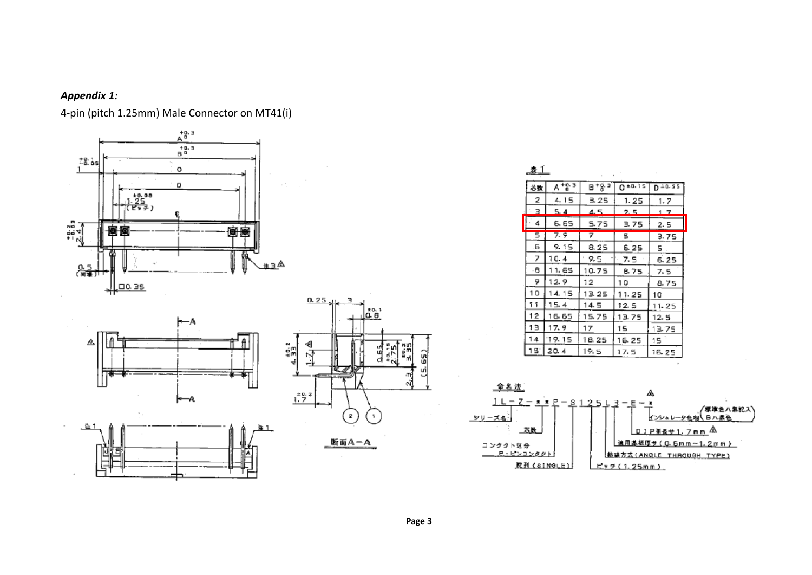#### *Appendix 1:*

4‐pin (pitch 1.25mm) Male Connector on MT41(i)









| 表]  |        |           |       |            |
|-----|--------|-----------|-------|------------|
| 芯数  | A *음·크 | 日 + 음 크   | 0.15  | $D = 0.25$ |
| 2   | 4.15   | 3.25      | 1.25  | 1.7        |
| 3   | 5.4    | 4.5       | 2.5   | 1.7        |
| 4   | 6. 65  | 5.75      | 3.75  | 2. 5       |
| 5   | 7.9    | 7         | s     | 3.75       |
| .6  | 9. 15  | 8.25      | 6.25  | 5          |
| 7   | 10.4   | 9.5       | 7. 5  | 6.25       |
| -8  | 11.65  | 10.75     | 8.75  | 7.5        |
| 9   | 12.9   | $12^{12}$ | 10    | 8.75       |
| 10  | 14.15  | 13.25     | 11.25 | 10         |
| ĩ t | 15.4   | 14.5      | 12.5  | 11.25      |
| 12  | 16.65  | 15.75     | 13.75 | 12.5       |
| 13  | 17.9   | 17        | 15    | 13.75      |
| 14  | 19.15  | 18.25     | 16.25 | 15         |
| 15  | 20.4   | 19.5      | 17.5  | 16.25      |

 $\sim$ 



 $\sim$